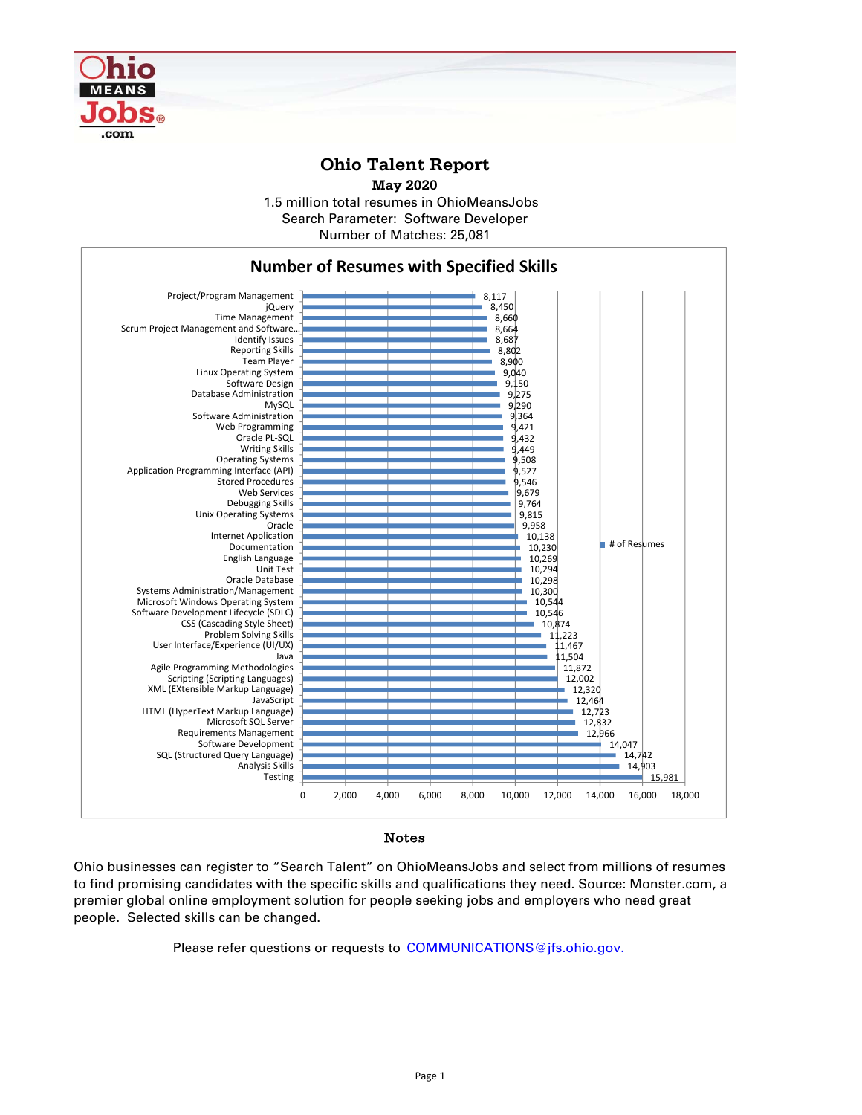

## **Ohio Talent Report**

**May 2020**

1.5 million total resumes in OhioMeansJobs Number of Matches: 25,081 Search Parameter: Software Developer



## Notes

Ohio businesses can register to "Search Talent" on OhioMeansJobs and select from millions of resumes to find promising candidates with the specific skills and qualifications they need. Source: Monster.com, a premier global online employment solution for people seeking jobs and employers who need great people. Selected skills can be changed.

Please refer questions or requests to COMMUNICATIONS@jfs.ohio.gov.